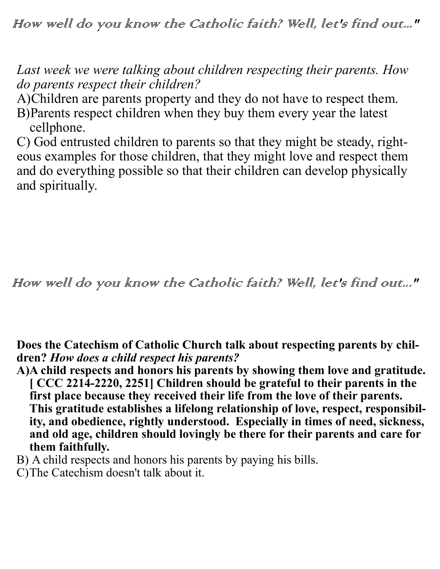How well do you know the Catholic faith? Well, let's find out..."

*Last week we were talking about children respecting their parents. How do parents respect their children?*

A)Children are parents property and they do not have to respect them. B)Parents respect children when they buy them every year the latest cellphone.

C) God entrusted children to parents so that they might be steady, righteous examples for those children, that they might love and respect them and do everything possible so that their children can develop physically and spiritually.

How well do you know the Catholic faith? Well, let's find out..."

**Does the Catechism of Catholic Church talk about respecting parents by children?** *How does a child respect his parents?*

- **A)A child respects and honors his parents by showing them love and gratitude. [ CCC 2214-2220, 2251] Children should be grateful to their parents in the first place because they received their life from the love of their parents. This gratitude establishes a lifelong relationship of love, respect, responsibility, and obedience, rightly understood. Especially in times of need, sickness, and old age, children should lovingly be there for their parents and care for them faithfully.**
- B) A child respects and honors his parents by paying his bills.
- C)The Catechism doesn't talk about it.